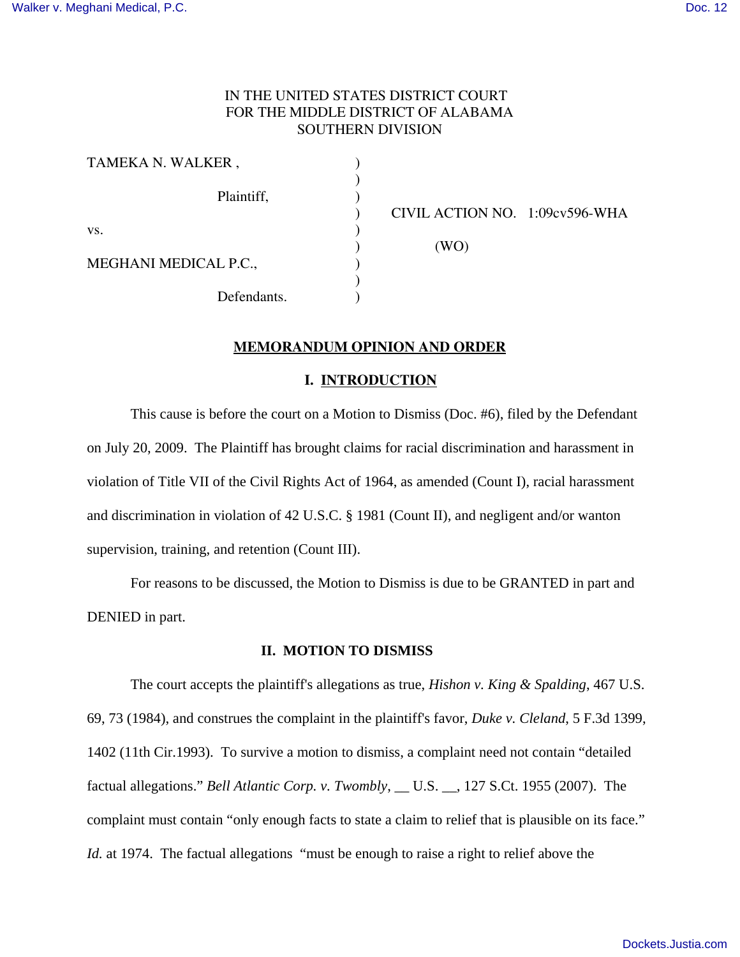# IN THE UNITED STATES DISTRICT COURT FOR THE MIDDLE DISTRICT OF ALABAMA SOUTHERN DIVISION

)

)

| TAMEKA N. WALKER,     |  |
|-----------------------|--|
| Plaintiff,            |  |
| VS.                   |  |
| MEGHANI MEDICAL P.C., |  |
| Defendants.           |  |

) CIVIL ACTION NO. 1:09cv596-WHA

 $(WO)$ 

## **MEMORANDUM OPINION AND ORDER**

#### **I. INTRODUCTION**

This cause is before the court on a Motion to Dismiss (Doc. #6), filed by the Defendant on July 20, 2009. The Plaintiff has brought claims for racial discrimination and harassment in violation of Title VII of the Civil Rights Act of 1964, as amended (Count I), racial harassment and discrimination in violation of 42 U.S.C. § 1981 (Count II), and negligent and/or wanton supervision, training, and retention (Count III).

For reasons to be discussed, the Motion to Dismiss is due to be GRANTED in part and DENIED in part.

# **II. MOTION TO DISMISS**

The court accepts the plaintiff's allegations as true, *Hishon v. King & Spalding*, 467 U.S. 69, 73 (1984), and construes the complaint in the plaintiff's favor, *Duke v. Cleland*, 5 F.3d 1399, 1402 (11th Cir.1993). To survive a motion to dismiss, a complaint need not contain "detailed factual allegations." *Bell Atlantic Corp. v. Twombly*, \_\_ U.S. \_\_, 127 S.Ct. 1955 (2007). The complaint must contain "only enough facts to state a claim to relief that is plausible on its face." *Id.* at 1974. The factual allegations "must be enough to raise a right to relief above the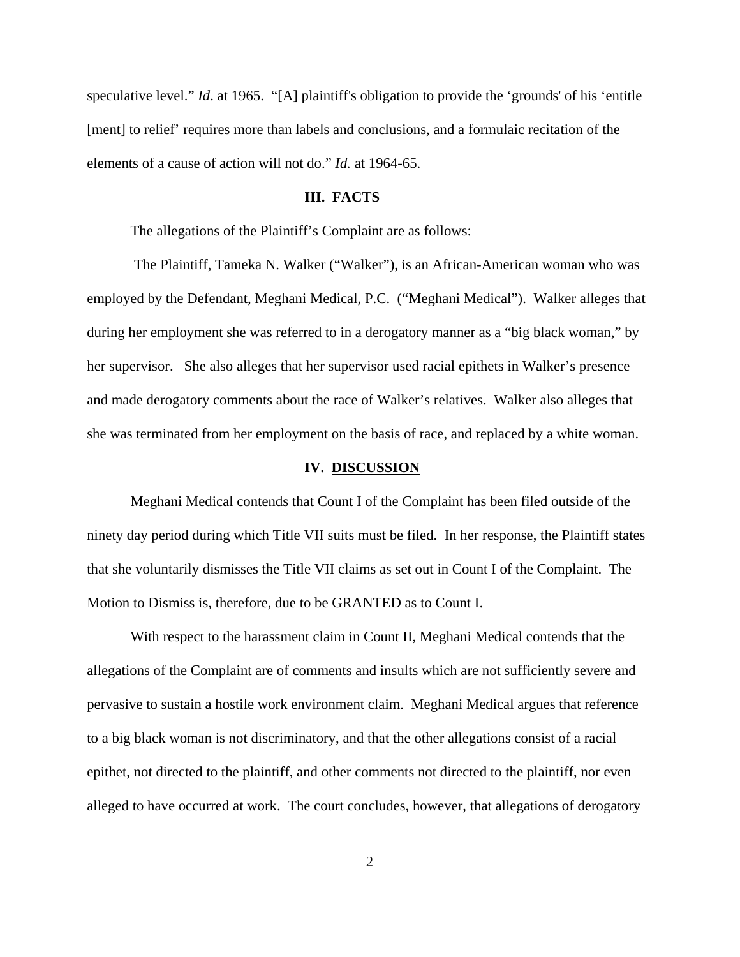speculative level." *Id*. at 1965. "[A] plaintiff's obligation to provide the 'grounds' of his 'entitle [ment] to relief' requires more than labels and conclusions, and a formulaic recitation of the elements of a cause of action will not do." *Id.* at 1964-65.

#### **III. FACTS**

The allegations of the Plaintiff's Complaint are as follows:

 The Plaintiff, Tameka N. Walker ("Walker"), is an African-American woman who was employed by the Defendant, Meghani Medical, P.C. ("Meghani Medical"). Walker alleges that during her employment she was referred to in a derogatory manner as a "big black woman," by her supervisor. She also alleges that her supervisor used racial epithets in Walker's presence and made derogatory comments about the race of Walker's relatives. Walker also alleges that she was terminated from her employment on the basis of race, and replaced by a white woman.

#### **IV. DISCUSSION**

Meghani Medical contends that Count I of the Complaint has been filed outside of the ninety day period during which Title VII suits must be filed. In her response, the Plaintiff states that she voluntarily dismisses the Title VII claims as set out in Count I of the Complaint. The Motion to Dismiss is, therefore, due to be GRANTED as to Count I.

With respect to the harassment claim in Count II, Meghani Medical contends that the allegations of the Complaint are of comments and insults which are not sufficiently severe and pervasive to sustain a hostile work environment claim. Meghani Medical argues that reference to a big black woman is not discriminatory, and that the other allegations consist of a racial epithet, not directed to the plaintiff, and other comments not directed to the plaintiff, nor even alleged to have occurred at work. The court concludes, however, that allegations of derogatory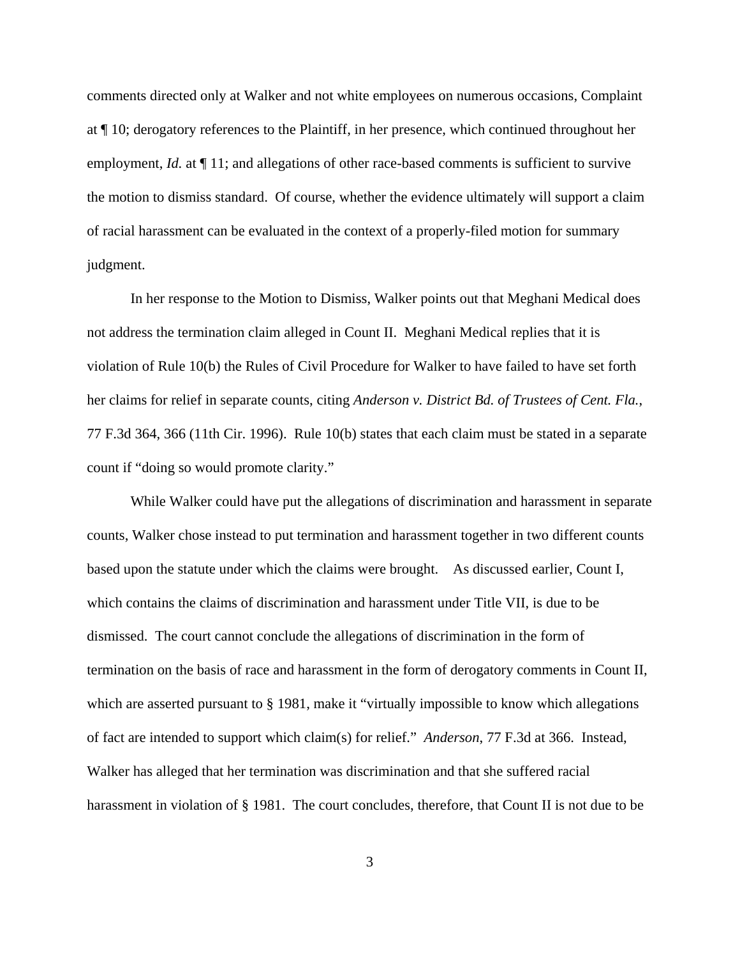comments directed only at Walker and not white employees on numerous occasions, Complaint at ¶ 10; derogatory references to the Plaintiff, in her presence, which continued throughout her employment, *Id.* at  $\P$  11; and allegations of other race-based comments is sufficient to survive the motion to dismiss standard. Of course, whether the evidence ultimately will support a claim of racial harassment can be evaluated in the context of a properly-filed motion for summary judgment.

In her response to the Motion to Dismiss, Walker points out that Meghani Medical does not address the termination claim alleged in Count II. Meghani Medical replies that it is violation of Rule 10(b) the Rules of Civil Procedure for Walker to have failed to have set forth her claims for relief in separate counts, citing *Anderson v. District Bd. of Trustees of Cent. Fla.*, 77 F.3d 364, 366 (11th Cir. 1996). Rule 10(b) states that each claim must be stated in a separate count if "doing so would promote clarity."

While Walker could have put the allegations of discrimination and harassment in separate counts, Walker chose instead to put termination and harassment together in two different counts based upon the statute under which the claims were brought. As discussed earlier, Count I, which contains the claims of discrimination and harassment under Title VII, is due to be dismissed. The court cannot conclude the allegations of discrimination in the form of termination on the basis of race and harassment in the form of derogatory comments in Count II, which are asserted pursuant to § 1981, make it "virtually impossible to know which allegations of fact are intended to support which claim(s) for relief." *Anderson*, 77 F.3d at 366. Instead, Walker has alleged that her termination was discrimination and that she suffered racial harassment in violation of § 1981. The court concludes, therefore, that Count II is not due to be